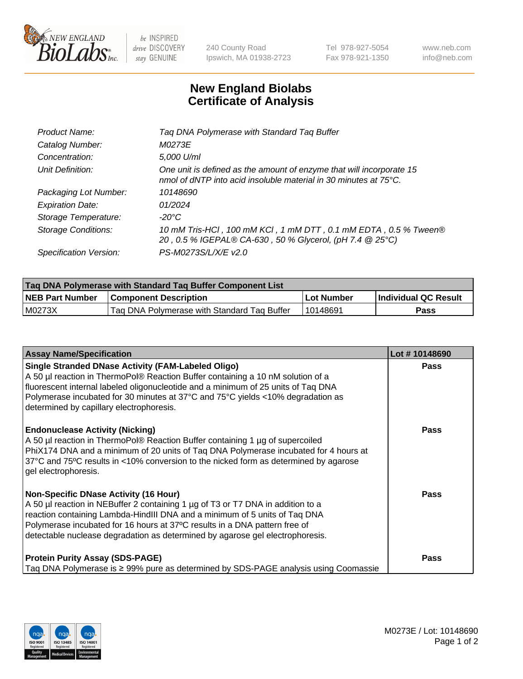

 $be$  INSPIRED drive DISCOVERY stay GENUINE

240 County Road Ipswich, MA 01938-2723 Tel 978-927-5054 Fax 978-921-1350 www.neb.com info@neb.com

## **New England Biolabs Certificate of Analysis**

| Product Name:              | Tag DNA Polymerase with Standard Tag Buffer                                                                                              |
|----------------------------|------------------------------------------------------------------------------------------------------------------------------------------|
| Catalog Number:            | M0273E                                                                                                                                   |
| Concentration:             | 5,000 U/ml                                                                                                                               |
| Unit Definition:           | One unit is defined as the amount of enzyme that will incorporate 15<br>nmol of dNTP into acid insoluble material in 30 minutes at 75°C. |
| Packaging Lot Number:      | 10148690                                                                                                                                 |
| <b>Expiration Date:</b>    | 01/2024                                                                                                                                  |
| Storage Temperature:       | $-20^{\circ}$ C                                                                                                                          |
| <b>Storage Conditions:</b> | 10 mM Tris-HCl, 100 mM KCl, 1 mM DTT, 0.1 mM EDTA, 0.5 % Tween®<br>20, 0.5 % IGEPAL® CA-630, 50 % Glycerol, (pH 7.4 @ 25°C)              |
| Specification Version:     | PS-M0273S/L/X/E v2.0                                                                                                                     |

| Tag DNA Polymerase with Standard Tag Buffer Component List |                                             |              |                      |  |
|------------------------------------------------------------|---------------------------------------------|--------------|----------------------|--|
| <b>NEB Part Number</b>                                     | <b>Component Description</b>                | l Lot Number | Individual QC Result |  |
| M0273X                                                     | Tag DNA Polymerase with Standard Tag Buffer | 10148691     | Pass                 |  |

| <b>Assay Name/Specification</b>                                                                                                                                                                                                                                                                                                                                              | Lot #10148690 |
|------------------------------------------------------------------------------------------------------------------------------------------------------------------------------------------------------------------------------------------------------------------------------------------------------------------------------------------------------------------------------|---------------|
| <b>Single Stranded DNase Activity (FAM-Labeled Oligo)</b><br>A 50 µl reaction in ThermoPol® Reaction Buffer containing a 10 nM solution of a<br>fluorescent internal labeled oligonucleotide and a minimum of 25 units of Taq DNA<br>Polymerase incubated for 30 minutes at 37°C and 75°C yields <10% degradation as<br>determined by capillary electrophoresis.             | <b>Pass</b>   |
| <b>Endonuclease Activity (Nicking)</b><br>A 50 µl reaction in ThermoPol® Reaction Buffer containing 1 µg of supercoiled<br>PhiX174 DNA and a minimum of 20 units of Tag DNA Polymerase incubated for 4 hours at<br>37°C and 75°C results in <10% conversion to the nicked form as determined by agarose<br>gel electrophoresis.                                              | <b>Pass</b>   |
| <b>Non-Specific DNase Activity (16 Hour)</b><br>A 50 µl reaction in NEBuffer 2 containing 1 µg of T3 or T7 DNA in addition to a<br>reaction containing Lambda-HindIII DNA and a minimum of 5 units of Taq DNA<br>Polymerase incubated for 16 hours at 37°C results in a DNA pattern free of<br>detectable nuclease degradation as determined by agarose gel electrophoresis. | Pass          |
| <b>Protein Purity Assay (SDS-PAGE)</b><br>Taq DNA Polymerase is ≥ 99% pure as determined by SDS-PAGE analysis using Coomassie                                                                                                                                                                                                                                                | <b>Pass</b>   |